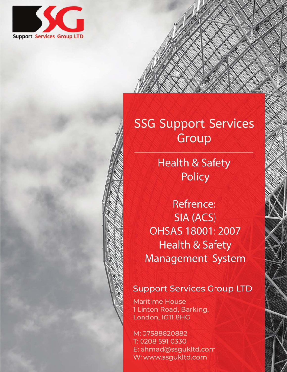

## **SSG Support Services** Group

**Health & Safety Policy** 

**Refrence:** SIA (ACS) OHSAS 18001: 2007 **Health & Safety Management System** 

## **Support Services Group LTD**

**Maritime House** 1 Linton Road, Barking, London, IG11 8HG

M: 07588820882 T: 0208 591 0330 E: ahmad@ssgukltd.com W: www.ssgukltd.com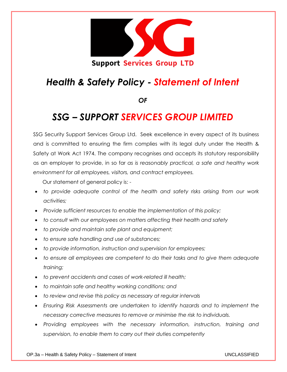

## *Health & Safety Policy - Statement of Intent*

*OF*

## *SSG – SUPPORT SERVICES GROUP LIMITED*

SSG Security Support Services Group Ltd. Seek excellence in every aspect of its business and is committed to ensuring the firm complies with its legal duty under the Health & Safety at Work Act 1974. The company recognises and accepts its statutory responsibility as an employer to provide, in so far *as is reasonably practical, a safe and healthy work environment for all employees, visitors, and contract employees.*

Our statement of general policy is: -

- *to provide adequate control of the health and safety risks arising from our work activities;*
- *Provide sufficient resources to enable the implementation of this policy;*
- *to consult with our employees on matters affecting their health and safety*
- *to provide and maintain safe plant and equipment;*
- *to ensure safe handling and use of substances;*
- *to provide information, instruction and supervision for employees;*
- *to ensure all employees are competent to do their tasks and to give them adequate training;*
- *to prevent accidents and cases of work-related ill health;*
- *to maintain safe and healthy working conditions; and*
- *to review and revise this policy as necessary at regular intervals*
- *Ensuring Risk Assessments are undertaken to identify hazards and to implement the necessary corrective measures to remove or minimise the risk to individuals.*
- *Providing employees with the necessary information, instruction, training and supervision, to enable them to carry out their duties competently*